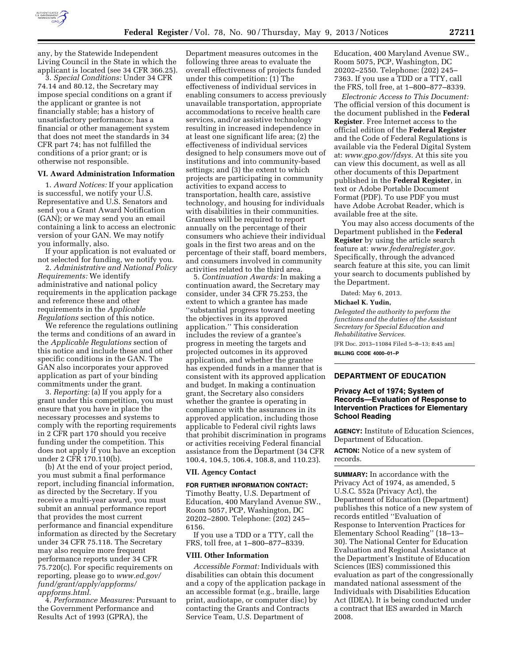

any, by the Statewide Independent Living Council in the State in which the applicant is located (see 34 CFR 366.25).

3. *Special Conditions:* Under 34 CFR 74.14 and 80.12, the Secretary may impose special conditions on a grant if the applicant or grantee is not financially stable; has a history of unsatisfactory performance; has a financial or other management system that does not meet the standards in 34 CFR part 74; has not fulfilled the conditions of a prior grant; or is otherwise not responsible.

### **VI. Award Administration Information**

1. *Award Notices:* If your application is successful, we notify your U.S. Representative and U.S. Senators and send you a Grant Award Notification (GAN); or we may send you an email containing a link to access an electronic version of your GAN. We may notify you informally, also.

If your application is not evaluated or not selected for funding, we notify you.

2. *Administrative and National Policy Requirements:* We identify administrative and national policy requirements in the application package and reference these and other requirements in the *Applicable Regulations* section of this notice.

We reference the regulations outlining the terms and conditions of an award in the *Applicable Regulations* section of this notice and include these and other specific conditions in the GAN. The GAN also incorporates your approved application as part of your binding commitments under the grant.

3. *Reporting:* (a) If you apply for a grant under this competition, you must ensure that you have in place the necessary processes and systems to comply with the reporting requirements in 2 CFR part 170 should you receive funding under the competition. This does not apply if you have an exception under 2 CFR 170.110(b).

(b) At the end of your project period, you must submit a final performance report, including financial information, as directed by the Secretary. If you receive a multi-year award, you must submit an annual performance report that provides the most current performance and financial expenditure information as directed by the Secretary under 34 CFR 75.118. The Secretary may also require more frequent performance reports under 34 CFR 75.720(c). For specific requirements on reporting, please go to *[www.ed.gov/](http://www.ed.gov/fund/grant/apply/appforms/appforms.html) [fund/grant/apply/appforms/](http://www.ed.gov/fund/grant/apply/appforms/appforms.html) [appforms.html.](http://www.ed.gov/fund/grant/apply/appforms/appforms.html)* 

4. *Performance Measures:* Pursuant to the Government Performance and Results Act of 1993 (GPRA), the

Department measures outcomes in the following three areas to evaluate the overall effectiveness of projects funded under this competition: (1) The effectiveness of individual services in enabling consumers to access previously unavailable transportation, appropriate accommodations to receive health care services, and/or assistive technology resulting in increased independence in at least one significant life area; (2) the effectiveness of individual services designed to help consumers move out of institutions and into community-based settings; and (3) the extent to which projects are participating in community activities to expand access to transportation, health care, assistive technology, and housing for individuals with disabilities in their communities. Grantees will be required to report annually on the percentage of their consumers who achieve their individual goals in the first two areas and on the percentage of their staff, board members, and consumers involved in community activities related to the third area.

5. *Continuation Awards:* In making a continuation award, the Secretary may consider, under 34 CFR 75.253, the extent to which a grantee has made ''substantial progress toward meeting the objectives in its approved application.'' This consideration includes the review of a grantee's progress in meeting the targets and projected outcomes in its approved application, and whether the grantee has expended funds in a manner that is consistent with its approved application and budget. In making a continuation grant, the Secretary also considers whether the grantee is operating in compliance with the assurances in its approved application, including those applicable to Federal civil rights laws that prohibit discrimination in programs or activities receiving Federal financial assistance from the Department (34 CFR 100.4, 104.5, 106.4, 108.8, and 110.23).

#### **VII. Agency Contact**

**FOR FURTHER INFORMATION CONTACT:**  Timothy Beatty, U.S. Department of Education, 400 Maryland Avenue SW., Room 5057, PCP, Washington, DC 20202–2800. Telephone: (202) 245– 6156.

If you use a TDD or a TTY, call the FRS, toll free, at 1–800–877–8339.

#### **VIII. Other Information**

*Accessible Format:* Individuals with disabilities can obtain this document and a copy of the application package in an accessible format (e.g., braille, large print, audiotape, or computer disc) by contacting the Grants and Contracts Service Team, U.S. Department of

Education, 400 Maryland Avenue SW., Room 5075, PCP, Washington, DC 20202–2550. Telephone: (202) 245– 7363. If you use a TDD or a TTY, call the FRS, toll free, at 1–800–877–8339.

*Electronic Access to This Document:*  The official version of this document is the document published in the **Federal Register**. Free Internet access to the official edition of the **Federal Register**  and the Code of Federal Regulations is available via the Federal Digital System at: *[www.gpo.gov/fdsys.](http://www.gpo.gov/fdsys)* At this site you can view this document, as well as all other documents of this Department published in the **Federal Register**, in text or Adobe Portable Document Format (PDF). To use PDF you must have Adobe Acrobat Reader, which is available free at the site.

You may also access documents of the Department published in the **Federal Register** by using the article search feature at: *[www.federalregister.gov.](http://www.federalregister.gov)*  Specifically, through the advanced search feature at this site, you can limit your search to documents published by the Department.

Dated: May 6, 2013.

## **Michael K. Yudin,**

*Delegated the authority to perform the functions and the duties of the Assistant Secretary for Special Education and Rehabilitative Services.* 

[FR Doc. 2013–11084 Filed 5–8–13; 8:45 am]

**BILLING CODE 4000–01–P** 

# **DEPARTMENT OF EDUCATION**

# **Privacy Act of 1974; System of Records—Evaluation of Response to Intervention Practices for Elementary School Reading**

**AGENCY:** Institute of Education Sciences, Department of Education.

**ACTION:** Notice of a new system of records.

**SUMMARY:** In accordance with the Privacy Act of 1974, as amended, 5 U.S.C. 552a (Privacy Act), the Department of Education (Department) publishes this notice of a new system of records entitled ''Evaluation of Response to Intervention Practices for Elementary School Reading'' (18–13– 30). The National Center for Education Evaluation and Regional Assistance at the Department's Institute of Education Sciences (IES) commissioned this evaluation as part of the congressionally mandated national assessment of the Individuals with Disabilities Education Act (IDEA). It is being conducted under a contract that IES awarded in March 2008.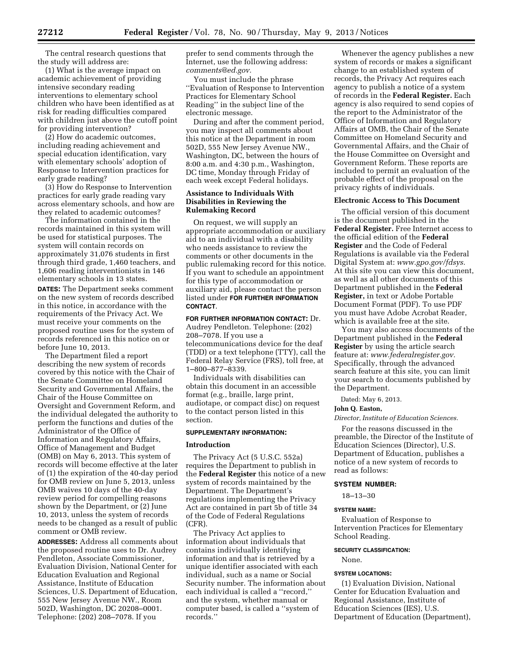The central research questions that the study will address are:

(1) What is the average impact on academic achievement of providing intensive secondary reading interventions to elementary school children who have been identified as at risk for reading difficulties compared with children just above the cutoff point for providing intervention?

(2) How do academic outcomes, including reading achievement and special education identification, vary with elementary schools' adoption of Response to Intervention practices for early grade reading?

(3) How do Response to Intervention practices for early grade reading vary across elementary schools, and how are they related to academic outcomes?

The information contained in the records maintained in this system will be used for statistical purposes. The system will contain records on approximately 31,076 students in first through third grade, 1,460 teachers, and 1,606 reading interventionists in 146 elementary schools in 13 states. **DATES:** The Department seeks comment on the new system of records described in this notice, in accordance with the requirements of the Privacy Act. We must receive your comments on the proposed routine uses for the system of records referenced in this notice on or before June 10, 2013.

The Department filed a report describing the new system of records covered by this notice with the Chair of the Senate Committee on Homeland Security and Governmental Affairs, the Chair of the House Committee on Oversight and Government Reform, and the individual delegated the authority to perform the functions and duties of the Administrator of the Office of Information and Regulatory Affairs, Office of Management and Budget (OMB) on May 6, 2013. This system of records will become effective at the later of (1) the expiration of the 40-day period for OMB review on June 5, 2013, unless OMB waives 10 days of the 40-day review period for compelling reasons shown by the Department, or (2) June 10, 2013, unless the system of records needs to be changed as a result of public comment or OMB review.

**ADDRESSES:** Address all comments about the proposed routine uses to Dr. Audrey Pendleton, Associate Commissioner, Evaluation Division, National Center for Education Evaluation and Regional Assistance, Institute of Education Sciences, U.S. Department of Education, 555 New Jersey Avenue NW., Room 502D, Washington, DC 20208–0001. Telephone: (202) 208–7078. If you

prefer to send comments through the Internet, use the following address: *[comments@ed.gov.](mailto:comments@ed.gov)* 

You must include the phrase ''Evaluation of Response to Intervention Practices for Elementary School Reading'' in the subject line of the electronic message.

During and after the comment period, you may inspect all comments about this notice at the Department in room 502D, 555 New Jersey Avenue NW., Washington, DC, between the hours of 8:00 a.m. and 4:30 p.m., Washington, DC time, Monday through Friday of each week except Federal holidays.

# **Assistance to Individuals With Disabilities in Reviewing the Rulemaking Record**

On request, we will supply an appropriate accommodation or auxiliary aid to an individual with a disability who needs assistance to review the comments or other documents in the public rulemaking record for this notice. If you want to schedule an appointment for this type of accommodation or auxiliary aid, please contact the person listed under **FOR FURTHER INFORMATION CONTACT**.

**FOR FURTHER INFORMATION CONTACT:** Dr. Audrey Pendleton. Telephone: (202) 208–7078. If you use a telecommunications device for the deaf (TDD) or a text telephone (TTY), call the Federal Relay Service (FRS), toll free, at 1–800–877–8339.

Individuals with disabilities can obtain this document in an accessible format (e.g., braille, large print, audiotape, or compact disc) on request to the contact person listed in this section.

#### **SUPPLEMENTARY INFORMATION:**

#### **Introduction**

The Privacy Act (5 U.S.C. 552a) requires the Department to publish in the **Federal Register** this notice of a new system of records maintained by the Department. The Department's regulations implementing the Privacy Act are contained in part 5b of title 34 of the Code of Federal Regulations (CFR).

The Privacy Act applies to information about individuals that contains individually identifying information and that is retrieved by a unique identifier associated with each individual, such as a name or Social Security number. The information about each individual is called a ''record,'' and the system, whether manual or computer based, is called a ''system of records.''

Whenever the agency publishes a new system of records or makes a significant change to an established system of records, the Privacy Act requires each agency to publish a notice of a system of records in the **Federal Register.** Each agency is also required to send copies of the report to the Administrator of the Office of Information and Regulatory Affairs at OMB, the Chair of the Senate Committee on Homeland Security and Governmental Affairs, and the Chair of the House Committee on Oversight and Government Reform. These reports are included to permit an evaluation of the probable effect of the proposal on the privacy rights of individuals.

#### **Electronic Access to This Document**

The official version of this document is the document published in the **Federal Register.** Free Internet access to the official edition of the **Federal Register** and the Code of Federal Regulations is available via the Federal Digital System at: *[www.gpo.gov/fdsys.](http://www.gpo.gov/fdsys)*  At this site you can view this document, as well as all other documents of this Department published in the **Federal Register,** in text or Adobe Portable Document Format (PDF). To use PDF you must have Adobe Acrobat Reader, which is available free at the site.

You may also access documents of the Department published in the **Federal Register** by using the article search feature at: *[www.federalregister.gov.](http://www.federalregister.gov)*  Specifically, through the advanced search feature at this site, you can limit your search to documents published by the Department.

Dated: May 6, 2013.

#### **John Q. Easton,**

*Director, Institute of Education Sciences.* 

For the reasons discussed in the preamble, the Director of the Institute of Education Sciences (Director), U.S. Department of Education, publishes a notice of a new system of records to read as follows:

#### **SYSTEM NUMBER:**

18–13–30

# **SYSTEM NAME:**

Evaluation of Response to Intervention Practices for Elementary School Reading.

#### **SECURITY CLASSIFICATION:**

None.

### **SYSTEM LOCATIONS:**

(1) Evaluation Division, National Center for Education Evaluation and Regional Assistance, Institute of Education Sciences (IES), U.S. Department of Education (Department),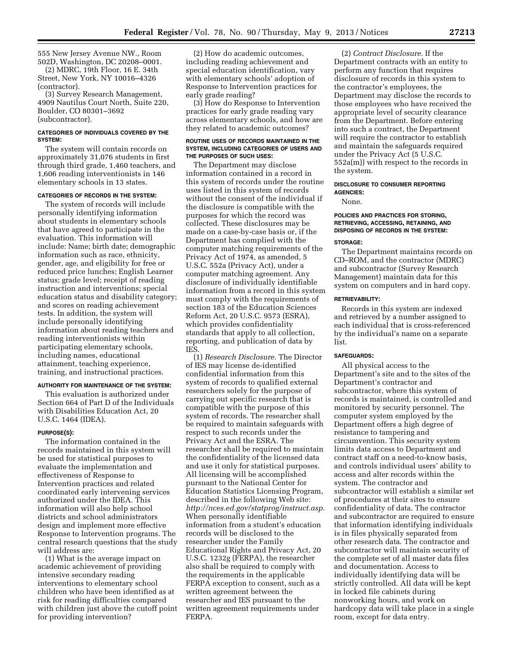555 New Jersey Avenue NW., Room 502D, Washington, DC 20208–0001. (2) MDRC, 19th Floor, 16 E. 34th

Street, New York, NY 10016–4326 (contractor).

(3) Survey Research Management, 4909 Nautilus Court North, Suite 220, Boulder, CO 80301–3692 (subcontractor).

# **CATEGORIES OF INDIVIDUALS COVERED BY THE SYSTEM:**

The system will contain records on approximately 31,076 students in first through third grade, 1,460 teachers, and 1,606 reading interventionists in 146 elementary schools in 13 states.

# **CATEGORIES OF RECORDS IN THE SYSTEM:**

The system of records will include personally identifying information about students in elementary schools that have agreed to participate in the evaluation. This information will include: Name; birth date; demographic information such as race, ethnicity, gender, age, and eligibility for free or reduced price lunches; English Learner status; grade level; receipt of reading instruction and interventions; special education status and disability category; and scores on reading achievement tests. In addition, the system will include personally identifying information about reading teachers and reading interventionists within participating elementary schools, including names, educational attainment, teaching experience, training, and instructional practices.

# **AUTHORITY FOR MAINTENANCE OF THE SYSTEM:**

This evaluation is authorized under Section 664 of Part D of the Individuals with Disabilities Education Act, 20 U.S.C. 1464 (IDEA).

#### **PURPOSE(S):**

The information contained in the records maintained in this system will be used for statistical purposes to evaluate the implementation and effectiveness of Response to Intervention practices and related coordinated early intervening services authorized under the IDEA. This information will also help school districts and school administrators design and implement more effective Response to Intervention programs. The central research questions that the study will address are:

(1) What is the average impact on academic achievement of providing intensive secondary reading interventions to elementary school children who have been identified as at risk for reading difficulties compared with children just above the cutoff point for providing intervention?

(2) How do academic outcomes, including reading achievement and special education identification, vary with elementary schools' adoption of Response to Intervention practices for early grade reading?

(3) How do Response to Intervention practices for early grade reading vary across elementary schools, and how are they related to academic outcomes?

#### **ROUTINE USES OF RECORDS MAINTAINED IN THE SYSTEM, INCLUDING CATEGORIES OF USERS AND THE PURPOSES OF SUCH USES:**

The Department may disclose information contained in a record in this system of records under the routine uses listed in this system of records without the consent of the individual if the disclosure is compatible with the purposes for which the record was collected. These disclosures may be made on a case-by-case basis or, if the Department has complied with the computer matching requirements of the Privacy Act of 1974, as amended, 5 U.S.C. 552a (Privacy Act), under a computer matching agreement. Any disclosure of individually identifiable information from a record in this system must comply with the requirements of section 183 of the Education Sciences Reform Act, 20 U.S.C. 9573 (ESRA), which provides confidentiality standards that apply to all collection, reporting, and publication of data by IES.

(1) *Research Disclosure.* The Director of IES may license de-identified confidential information from this system of records to qualified external researchers solely for the purpose of carrying out specific research that is compatible with the purpose of this system of records. The researcher shall be required to maintain safeguards with respect to such records under the Privacy Act and the ESRA. The researcher shall be required to maintain the confidentiality of the licensed data and use it only for statistical purposes. All licensing will be accomplished pursuant to the National Center for Education Statistics Licensing Program, described in the following Web site: *[http://nces.ed.gov/statprog/instruct.asp.](http://nces.ed.gov/statprog/instruct.asp)*  When personally identifiable information from a student's education records will be disclosed to the researcher under the Family Educational Rights and Privacy Act, 20 U.S.C. 1232g (FERPA), the researcher also shall be required to comply with the requirements in the applicable FERPA exception to consent, such as a written agreement between the researcher and IES pursuant to the written agreement requirements under FERPA.

(2) *Contract Disclosure.* If the Department contracts with an entity to perform any function that requires disclosure of records in this system to the contractor's employees, the Department may disclose the records to those employees who have received the appropriate level of security clearance from the Department. Before entering into such a contract, the Department will require the contractor to establish and maintain the safeguards required under the Privacy Act (5 U.S.C. 552a(m)) with respect to the records in the system.

#### **DISCLOSURE TO CONSUMER REPORTING AGENCIES:**

None.

#### **POLICIES AND PRACTICES FOR STORING, RETRIEVING, ACCESSING, RETAINING, AND DISPOSING OF RECORDS IN THE SYSTEM:**

#### **STORAGE:**

The Department maintains records on CD–ROM, and the contractor (MDRC) and subcontractor (Survey Research Management) maintain data for this system on computers and in hard copy.

### **RETRIEVABILITY:**

Records in this system are indexed and retrieved by a number assigned to each individual that is cross-referenced by the individual's name on a separate list.

#### **SAFEGUARDS:**

All physical access to the Department's site and to the sites of the Department's contractor and subcontractor, where this system of records is maintained, is controlled and monitored by security personnel. The computer system employed by the Department offers a high degree of resistance to tampering and circumvention. This security system limits data access to Department and contract staff on a need-to-know basis, and controls individual users' ability to access and alter records within the system. The contractor and subcontractor will establish a similar set of procedures at their sites to ensure confidentiality of data. The contractor and subcontractor are required to ensure that information identifying individuals is in files physically separated from other research data. The contractor and subcontractor will maintain security of the complete set of all master data files and documentation. Access to individually identifying data will be strictly controlled. All data will be kept in locked file cabinets during nonworking hours, and work on hardcopy data will take place in a single room, except for data entry.